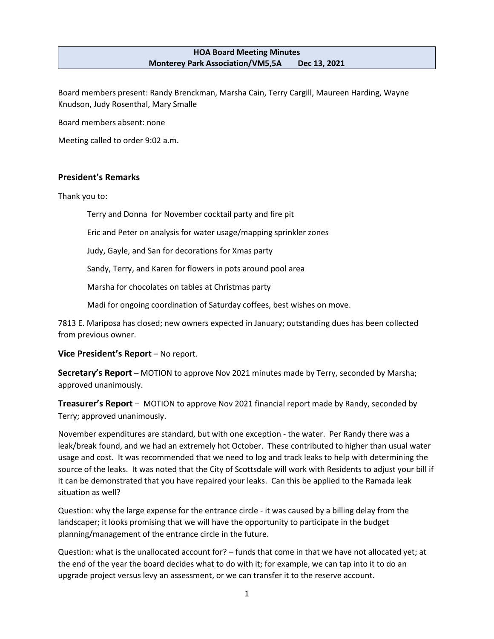#### **HOA Board Meeting Minutes Monterey Park Association/VM5,5A Dec 13, 2021**

Board members present: Randy Brenckman, Marsha Cain, Terry Cargill, Maureen Harding, Wayne Knudson, Judy Rosenthal, Mary Smalle

Board members absent: none

Meeting called to order 9:02 a.m.

### **President's Remarks**

Thank you to:

Terry and Donna for November cocktail party and fire pit

Eric and Peter on analysis for water usage/mapping sprinkler zones

Judy, Gayle, and San for decorations for Xmas party

Sandy, Terry, and Karen for flowers in pots around pool area

Marsha for chocolates on tables at Christmas party

Madi for ongoing coordination of Saturday coffees, best wishes on move.

7813 E. Mariposa has closed; new owners expected in January; outstanding dues has been collected from previous owner.

**Vice President's Report** – No report.

**Secretary's Report** – MOTION to approve Nov 2021 minutes made by Terry, seconded by Marsha; approved unanimously.

**Treasurer's Report** – MOTION to approve Nov 2021 financial report made by Randy, seconded by Terry; approved unanimously.

November expenditures are standard, but with one exception - the water. Per Randy there was a leak/break found, and we had an extremely hot October. These contributed to higher than usual water usage and cost. It was recommended that we need to log and track leaks to help with determining the source of the leaks. It was noted that the City of Scottsdale will work with Residents to adjust your bill if it can be demonstrated that you have repaired your leaks. Can this be applied to the Ramada leak situation as well?

Question: why the large expense for the entrance circle - it was caused by a billing delay from the landscaper; it looks promising that we will have the opportunity to participate in the budget planning/management of the entrance circle in the future.

Question: what is the unallocated account for? – funds that come in that we have not allocated yet; at the end of the year the board decides what to do with it; for example, we can tap into it to do an upgrade project versus levy an assessment, or we can transfer it to the reserve account.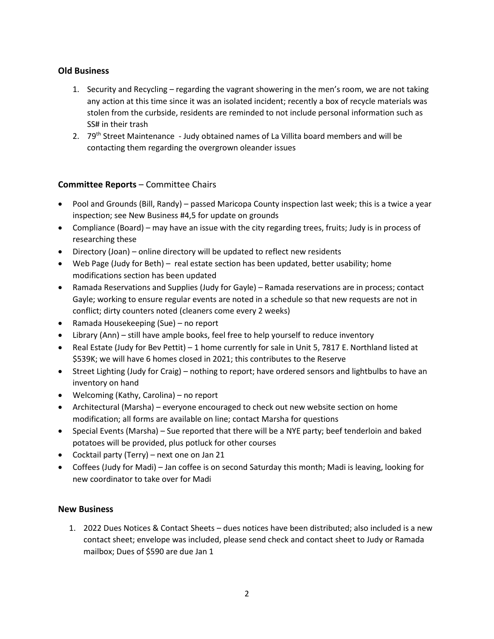## **Old Business**

- 1. Security and Recycling regarding the vagrant showering in the men's room, we are not taking any action at this time since it was an isolated incident; recently a box of recycle materials was stolen from the curbside, residents are reminded to not include personal information such as SS# in their trash
- 2. 79<sup>th</sup> Street Maintenance Judy obtained names of La Villita board members and will be contacting them regarding the overgrown oleander issues

# **Committee Reports** – Committee Chairs

- Pool and Grounds (Bill, Randy) passed Maricopa County inspection last week; this is a twice a year inspection; see New Business #4,5 for update on grounds
- Compliance (Board) may have an issue with the city regarding trees, fruits; Judy is in process of researching these
- Directory (Joan) online directory will be updated to reflect new residents
- Web Page (Judy for Beth) real estate section has been updated, better usability; home modifications section has been updated
- Ramada Reservations and Supplies (Judy for Gayle) Ramada reservations are in process; contact Gayle; working to ensure regular events are noted in a schedule so that new requests are not in conflict; dirty counters noted (cleaners come every 2 weeks)
- Ramada Housekeeping (Sue) no report
- Library (Ann) still have ample books, feel free to help yourself to reduce inventory
- Real Estate (Judy for Bev Pettit) 1 home currently for sale in Unit 5, 7817 E. Northland listed at \$539K; we will have 6 homes closed in 2021; this contributes to the Reserve
- Street Lighting (Judy for Craig) nothing to report; have ordered sensors and lightbulbs to have an inventory on hand
- Welcoming (Kathy, Carolina) no report
- Architectural (Marsha) everyone encouraged to check out new website section on home modification; all forms are available on line; contact Marsha for questions
- Special Events (Marsha) Sue reported that there will be a NYE party; beef tenderloin and baked potatoes will be provided, plus potluck for other courses
- Cocktail party (Terry) next one on Jan 21
- Coffees (Judy for Madi) Jan coffee is on second Saturday this month; Madi is leaving, looking for new coordinator to take over for Madi

## **New Business**

1. 2022 Dues Notices & Contact Sheets – dues notices have been distributed; also included is a new contact sheet; envelope was included, please send check and contact sheet to Judy or Ramada mailbox; Dues of \$590 are due Jan 1